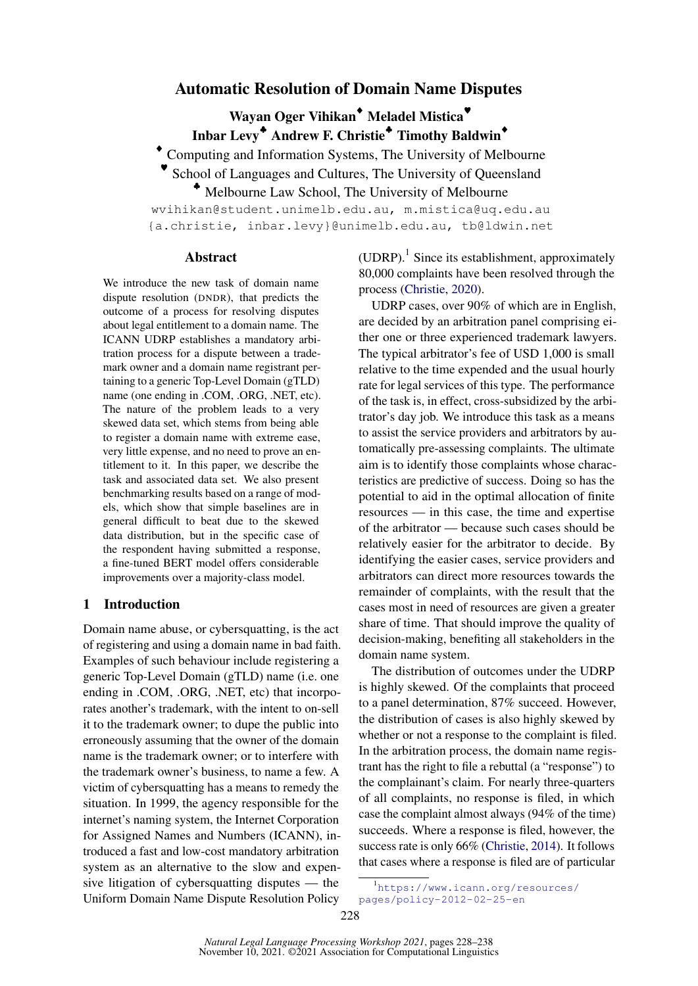# Automatic Resolution of Domain Name Disputes

Wayan Oger Vihikan<sup>◆</sup> Meladel Mistica<sup>●</sup> Inbar Levy<sup>+</sup> Andrew F. Christie<sup>+</sup> Timothy Baldwin<sup>+</sup>

♦ Computing and Information Systems, The University of Melbourne

♥ School of Languages and Cultures, The University of Queensland

♣ Melbourne Law School, The University of Melbourne

wvihikan@student.unimelb.edu.au, m.mistica@uq.edu.au {a.christie, inbar.levy}@unimelb.edu.au, tb@ldwin.net

## Abstract

We introduce the new task of domain name dispute resolution (DNDR), that predicts the outcome of a process for resolving disputes about legal entitlement to a domain name. The ICANN UDRP establishes a mandatory arbitration process for a dispute between a trademark owner and a domain name registrant pertaining to a generic Top-Level Domain (gTLD) name (one ending in .COM, .ORG, .NET, etc). The nature of the problem leads to a very skewed data set, which stems from being able to register a domain name with extreme ease, very little expense, and no need to prove an entitlement to it. In this paper, we describe the task and associated data set. We also present benchmarking results based on a range of models, which show that simple baselines are in general difficult to beat due to the skewed data distribution, but in the specific case of the respondent having submitted a response, a fine-tuned BERT model offers considerable improvements over a majority-class model.

## 1 Introduction

Domain name abuse, or cybersquatting, is the act of registering and using a domain name in bad faith. Examples of such behaviour include registering a generic Top-Level Domain (gTLD) name (i.e. one ending in .COM, .ORG, .NET, etc) that incorporates another's trademark, with the intent to on-sell it to the trademark owner; to dupe the public into erroneously assuming that the owner of the domain name is the trademark owner; or to interfere with the trademark owner's business, to name a few. A victim of cybersquatting has a means to remedy the situation. In 1999, the agency responsible for the internet's naming system, the Internet Corporation for Assigned Names and Numbers (ICANN), introduced a fast and low-cost mandatory arbitration system as an alternative to the slow and expensive litigation of cybersquatting disputes — the Uniform Domain Name Dispute Resolution Policy

(UDRP).<sup>[1](#page-0-0)</sup> Since its establishment, approximately 80,000 complaints have been resolved through the process [\(Christie,](#page-8-0) [2020\)](#page-8-0).

UDRP cases, over 90% of which are in English, are decided by an arbitration panel comprising either one or three experienced trademark lawyers. The typical arbitrator's fee of USD 1,000 is small relative to the time expended and the usual hourly rate for legal services of this type. The performance of the task is, in effect, cross-subsidized by the arbitrator's day job. We introduce this task as a means to assist the service providers and arbitrators by automatically pre-assessing complaints. The ultimate aim is to identify those complaints whose characteristics are predictive of success. Doing so has the potential to aid in the optimal allocation of finite resources — in this case, the time and expertise of the arbitrator — because such cases should be relatively easier for the arbitrator to decide. By identifying the easier cases, service providers and arbitrators can direct more resources towards the remainder of complaints, with the result that the cases most in need of resources are given a greater share of time. That should improve the quality of decision-making, benefiting all stakeholders in the domain name system.

The distribution of outcomes under the UDRP is highly skewed. Of the complaints that proceed to a panel determination, 87% succeed. However, the distribution of cases is also highly skewed by whether or not a response to the complaint is filed. In the arbitration process, the domain name registrant has the right to file a rebuttal (a "response") to the complainant's claim. For nearly three-quarters of all complaints, no response is filed, in which case the complaint almost always (94% of the time) succeeds. Where a response is filed, however, the success rate is only 66% [\(Christie,](#page-8-1) [2014\)](#page-8-1). It follows that cases where a response is filed are of particular

<span id="page-0-0"></span><sup>1</sup> [https://www.icann.org/resources/](https://www.icann.org/resources/pages/policy-2012-02-25-en) [pages/policy-2012-02-25-en](https://www.icann.org/resources/pages/policy-2012-02-25-en)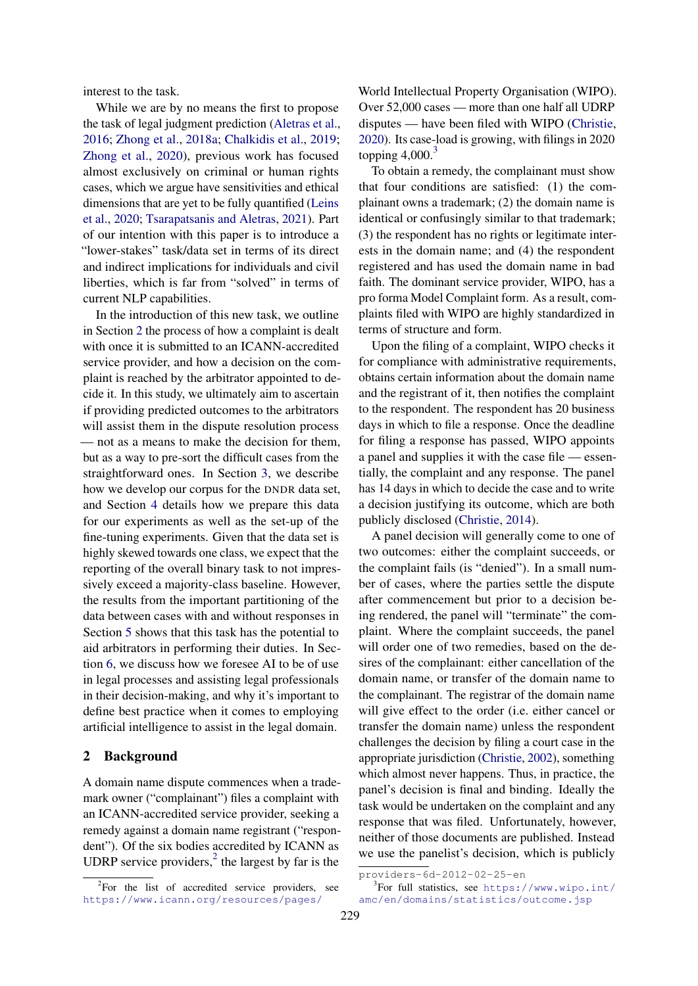interest to the task.

While we are by no means the first to propose the task of legal judgment prediction [\(Aletras et al.,](#page-8-2) [2016;](#page-8-2) [Zhong et al.,](#page-9-0) [2018a;](#page-9-0) [Chalkidis et al.,](#page-8-3) [2019;](#page-8-3) [Zhong et al.,](#page-9-1) [2020\)](#page-9-1), previous work has focused almost exclusively on criminal or human rights cases, which we argue have sensitivities and ethical dimensions that are yet to be fully quantified [\(Leins](#page-9-2) [et al.,](#page-9-2) [2020;](#page-9-2) [Tsarapatsanis and Aletras,](#page-9-3) [2021\)](#page-9-3). Part of our intention with this paper is to introduce a "lower-stakes" task/data set in terms of its direct and indirect implications for individuals and civil liberties, which is far from "solved" in terms of current NLP capabilities.

In the introduction of this new task, we outline in Section [2](#page-1-0) the process of how a complaint is dealt with once it is submitted to an ICANN-accredited service provider, and how a decision on the complaint is reached by the arbitrator appointed to decide it. In this study, we ultimately aim to ascertain if providing predicted outcomes to the arbitrators will assist them in the dispute resolution process — not as a means to make the decision for them, but as a way to pre-sort the difficult cases from the straightforward ones. In Section [3,](#page-2-0) we describe how we develop our corpus for the DNDR data set, and Section [4](#page-3-0) details how we prepare this data for our experiments as well as the set-up of the fine-tuning experiments. Given that the data set is highly skewed towards one class, we expect that the reporting of the overall binary task to not impressively exceed a majority-class baseline. However, the results from the important partitioning of the data between cases with and without responses in Section [5](#page-5-0) shows that this task has the potential to aid arbitrators in performing their duties. In Section [6,](#page-6-0) we discuss how we foresee AI to be of use in legal processes and assisting legal professionals in their decision-making, and why it's important to define best practice when it comes to employing artificial intelligence to assist in the legal domain.

### <span id="page-1-0"></span>2 Background

A domain name dispute commences when a trademark owner ("complainant") files a complaint with an ICANN-accredited service provider, seeking a remedy against a domain name registrant ("respondent"). Of the six bodies accredited by ICANN as UDRP service providers, $\frac{1}{2}$  $\frac{1}{2}$  $\frac{1}{2}$  the largest by far is the

[World Intellectual Property Organisation \(WIPO\).](https://www.icann.org/resources/pages/providers-6d-2012-02-25-en) [Over 52,000 cases — more than one half all UDRP](https://www.icann.org/resources/pages/providers-6d-2012-02-25-en) [disputes — have been filed with WIPO \(Christie,](https://www.icann.org/resources/pages/providers-6d-2012-02-25-en) [2020\). Its case-load is growing, with filings in 2020](https://www.icann.org/resources/pages/providers-6d-2012-02-25-en) topping  $4,000<sup>3</sup>$  $4,000<sup>3</sup>$  $4,000<sup>3</sup>$ 

[To obtain a remedy, the complainant must show](https://www.icann.org/resources/pages/providers-6d-2012-02-25-en) [that four conditions are satisfied: \(1\) the com](https://www.icann.org/resources/pages/providers-6d-2012-02-25-en)[plainant owns a trademark; \(2\) the domain name is](https://www.icann.org/resources/pages/providers-6d-2012-02-25-en) [identical or confusingly similar to that trademark;](https://www.icann.org/resources/pages/providers-6d-2012-02-25-en) [\(3\) the respondent has no rights or legitimate inter](https://www.icann.org/resources/pages/providers-6d-2012-02-25-en)[ests in the domain name; and \(4\) the respondent](https://www.icann.org/resources/pages/providers-6d-2012-02-25-en) [registered and has used the domain name in bad](https://www.icann.org/resources/pages/providers-6d-2012-02-25-en) [faith. The dominant service provider, WIPO, has a](https://www.icann.org/resources/pages/providers-6d-2012-02-25-en) [pro forma Model Complaint form. As a result, com](https://www.icann.org/resources/pages/providers-6d-2012-02-25-en)[plaints filed with WIPO are highly standardized in](https://www.icann.org/resources/pages/providers-6d-2012-02-25-en) [terms of structure and form.](https://www.icann.org/resources/pages/providers-6d-2012-02-25-en)

[Upon the filing of a complaint, WIPO checks it](https://www.icann.org/resources/pages/providers-6d-2012-02-25-en) [for compliance with administrative requirements,](https://www.icann.org/resources/pages/providers-6d-2012-02-25-en) [obtains certain information about the domain name](https://www.icann.org/resources/pages/providers-6d-2012-02-25-en) [and the registrant of it, then notifies the complaint](https://www.icann.org/resources/pages/providers-6d-2012-02-25-en) [to the respondent. The respondent has 20 business](https://www.icann.org/resources/pages/providers-6d-2012-02-25-en) [days in which to file a response. Once the deadline](https://www.icann.org/resources/pages/providers-6d-2012-02-25-en) [for filing a response has passed, WIPO appoints](https://www.icann.org/resources/pages/providers-6d-2012-02-25-en) [a panel and supplies it with the case file — essen](https://www.icann.org/resources/pages/providers-6d-2012-02-25-en)[tially, the complaint and any response. The panel](https://www.icann.org/resources/pages/providers-6d-2012-02-25-en) [has 14 days in which to decide the case and to write](https://www.icann.org/resources/pages/providers-6d-2012-02-25-en) [a decision justifying its outcome, which are both](https://www.icann.org/resources/pages/providers-6d-2012-02-25-en) [publicly disclosed \(Christie,](https://www.icann.org/resources/pages/providers-6d-2012-02-25-en) [2014\)](#page-8-1).

[A panel decision will generally come to one of](https://www.icann.org/resources/pages/providers-6d-2012-02-25-en) [two outcomes: either the complaint succeeds, or](https://www.icann.org/resources/pages/providers-6d-2012-02-25-en) [the complaint fails \(is "denied"\). In a small num](https://www.icann.org/resources/pages/providers-6d-2012-02-25-en)[ber of cases, where the parties settle the dispute](https://www.icann.org/resources/pages/providers-6d-2012-02-25-en) [after commencement but prior to a decision be](https://www.icann.org/resources/pages/providers-6d-2012-02-25-en)[ing rendered, the panel will "terminate" the com](https://www.icann.org/resources/pages/providers-6d-2012-02-25-en)[plaint. Where the complaint succeeds, the panel](https://www.icann.org/resources/pages/providers-6d-2012-02-25-en) [will order one of two remedies, based on the de](https://www.icann.org/resources/pages/providers-6d-2012-02-25-en)[sires of the complainant: either cancellation of the](https://www.icann.org/resources/pages/providers-6d-2012-02-25-en) [domain name, or transfer of the domain name to](https://www.icann.org/resources/pages/providers-6d-2012-02-25-en) [the complainant. The registrar of the domain name](https://www.icann.org/resources/pages/providers-6d-2012-02-25-en) [will give effect to the order \(i.e. either cancel or](https://www.icann.org/resources/pages/providers-6d-2012-02-25-en) [transfer the domain name\) unless the respondent](https://www.icann.org/resources/pages/providers-6d-2012-02-25-en) [challenges the decision by filing a court case in the](https://www.icann.org/resources/pages/providers-6d-2012-02-25-en) [appropriate jurisdiction \(Christie,](https://www.icann.org/resources/pages/providers-6d-2012-02-25-en) [2002\)](#page-8-4), something [which almost never happens. Thus, in practice, the](https://www.icann.org/resources/pages/providers-6d-2012-02-25-en) [panel's decision is final and binding. Ideally the](https://www.icann.org/resources/pages/providers-6d-2012-02-25-en) [task would be undertaken on the complaint and any](https://www.icann.org/resources/pages/providers-6d-2012-02-25-en) [response that was filed. Unfortunately, however,](https://www.icann.org/resources/pages/providers-6d-2012-02-25-en) [neither of those documents are published. Instead](https://www.icann.org/resources/pages/providers-6d-2012-02-25-en) [we use the panelist's decision, which is publicly](https://www.icann.org/resources/pages/providers-6d-2012-02-25-en)

<span id="page-1-1"></span> $2^2$ For the list of accredited service providers, see [https://www.icann.org/resources/pages/](https://www.icann.org/resources/pages/providers-6d-2012-02-25-en)

[providers-6d-2012-02-25-en](https://www.icann.org/resources/pages/providers-6d-2012-02-25-en)

<span id="page-1-2"></span><sup>3</sup> For full statistics, see [https://www.wipo.int/](https://www.wipo.int/amc/en/domains/statistics/outcome.jsp) [amc/en/domains/statistics/outcome.jsp](https://www.wipo.int/amc/en/domains/statistics/outcome.jsp)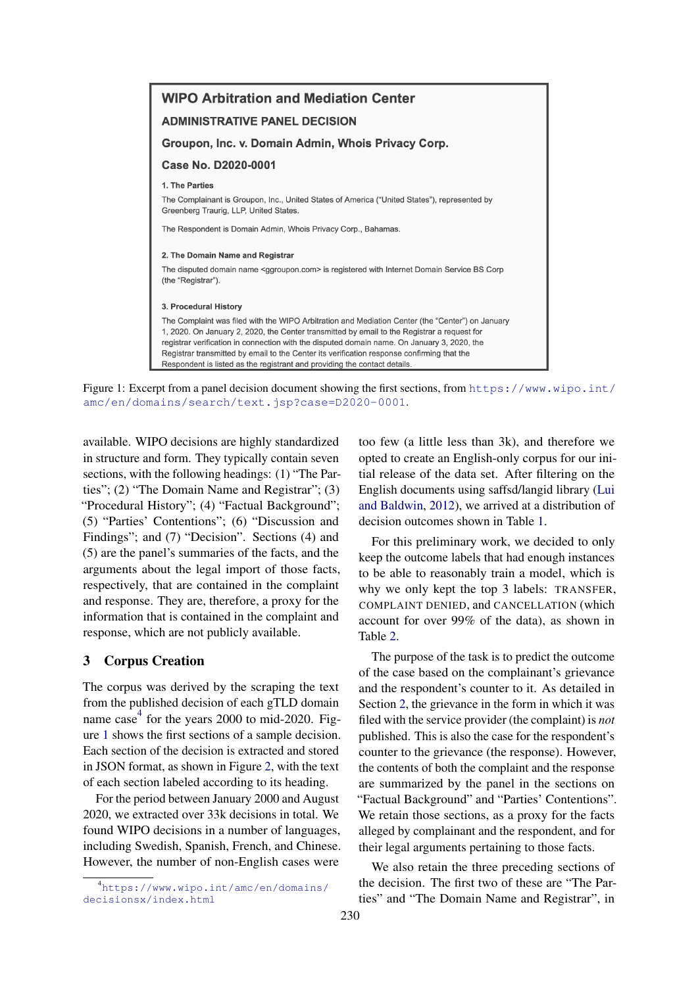<span id="page-2-2"></span>

Figure 1: Excerpt from a panel decision document showing the first sections, from [https://www.wipo.int/](https://www.wipo.int/amc/en/domains/search/text.jsp?case=D2020-0001) [amc/en/domains/search/text.jsp?case=D2020-0001](https://www.wipo.int/amc/en/domains/search/text.jsp?case=D2020-0001).

available. WIPO decisions are highly standardized in structure and form. They typically contain seven sections, with the following headings: (1) "The Parties"; (2) "The Domain Name and Registrar"; (3) "Procedural History"; (4) "Factual Background"; (5) "Parties' Contentions"; (6) "Discussion and Findings"; and (7) "Decision". Sections (4) and (5) are the panel's summaries of the facts, and the arguments about the legal import of those facts, respectively, that are contained in the complaint and response. They are, therefore, a proxy for the information that is contained in the complaint and response, which are not publicly available.

## <span id="page-2-0"></span>3 Corpus Creation

The corpus was derived by the scraping the text from the published decision of each gTLD domain name case<sup>[4](#page-2-1)</sup> for the years 2000 to mid-2020. Figure [1](#page-2-2) shows the first sections of a sample decision. Each section of the decision is extracted and stored in JSON format, as shown in Figure [2,](#page-3-1) with the text of each section labeled according to its heading.

For the period between January 2000 and August 2020, we extracted over 33k decisions in total. We found WIPO decisions in a number of languages, including Swedish, Spanish, French, and Chinese. However, the number of non-English cases were

too few (a little less than 3k), and therefore we opted to create an English-only corpus for our initial release of the data set. After filtering on the English documents using saffsd/langid library [\(Lui](#page-9-4) [and Baldwin,](#page-9-4) [2012\)](#page-9-4), we arrived at a distribution of decision outcomes shown in Table [1.](#page-4-0)

For this preliminary work, we decided to only keep the outcome labels that had enough instances to be able to reasonably train a model, which is why we only kept the top 3 labels: TRANSFER, COMPLAINT DENIED, and CANCELLATION (which account for over 99% of the data), as shown in Table [2.](#page-4-1)

The purpose of the task is to predict the outcome of the case based on the complainant's grievance and the respondent's counter to it. As detailed in Section [2,](#page-1-0) the grievance in the form in which it was filed with the service provider (the complaint) is *not* published. This is also the case for the respondent's counter to the grievance (the response). However, the contents of both the complaint and the response are summarized by the panel in the sections on "Factual Background" and "Parties' Contentions". We retain those sections, as a proxy for the facts alleged by complainant and the respondent, and for their legal arguments pertaining to those facts.

We also retain the three preceding sections of the decision. The first two of these are "The Parties" and "The Domain Name and Registrar", in

<span id="page-2-1"></span><sup>4</sup> [https://www.wipo.int/amc/en/domains/](https://www.wipo.int/amc/en/domains/decisionsx/index.html) [decisionsx/index.html](https://www.wipo.int/amc/en/domains/decisionsx/index.html)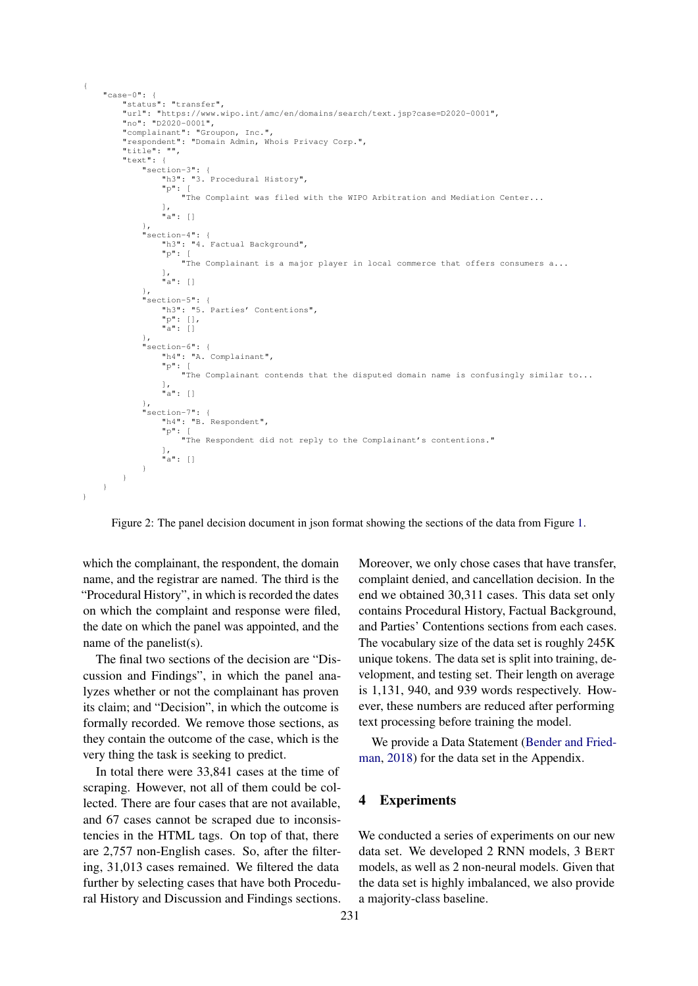```
"case-0": {
          "status": "transfer",
"url": "https://www.wipo.int/amc/en/domains/search/text.jsp?case=D2020-0001",
          "no": "D2020-0001",
          "complainant": "Groupon, Inc.",
"respondent": "Domain Admin, Whois Privacy Corp.",
          "title": "",
         "text": {
               "section-3": {
                    "h3": "3. Procedural History",
                    "p": [
                        "The Complaint was filed with the WIPO Arbitration and Mediation Center...
                    ],
"a": []
               },
               "section-4": {
                    .......<br>"h3": "4. Factual Background",
                    "p": [
"The Complainant is a major player in local commerce that offers consumers a...
],
                   \frac{1}{\pi} \frac{1}{\pi} \frac{1}{\pi} \frac{1}{\pi} \frac{1}{\pi}},
               "section-5": {
                    "h3": "5. Parties' Contentions",
                    "p": [],
                    "a": []
               },
"section-6": {
                    "h4": "A. Complainant",
                    "p": [
                        "The Complainant contends that the disputed domain name is confusingly similar to...
                    ],
"a": []
               },
               "section-7": {
                    .......<br>"h4": "B. Respondent",
                    "p": [
"The Respondent did not reply to the Complainant's contentions."
                    ],
"a": []
              \overline{1}}
    }
}
```
Figure 2: The panel decision document in json format showing the sections of the data from Figure [1.](#page-2-2)

which the complainant, the respondent, the domain name, and the registrar are named. The third is the "Procedural History", in which is recorded the dates on which the complaint and response were filed, the date on which the panel was appointed, and the name of the panelist(s).

<span id="page-3-1"></span>{

The final two sections of the decision are "Discussion and Findings", in which the panel analyzes whether or not the complainant has proven its claim; and "Decision", in which the outcome is formally recorded. We remove those sections, as they contain the outcome of the case, which is the very thing the task is seeking to predict.

In total there were 33,841 cases at the time of scraping. However, not all of them could be collected. There are four cases that are not available, and 67 cases cannot be scraped due to inconsistencies in the HTML tags. On top of that, there are 2,757 non-English cases. So, after the filtering, 31,013 cases remained. We filtered the data further by selecting cases that have both Procedural History and Discussion and Findings sections. Moreover, we only chose cases that have transfer, complaint denied, and cancellation decision. In the end we obtained 30,311 cases. This data set only contains Procedural History, Factual Background, and Parties' Contentions sections from each cases. The vocabulary size of the data set is roughly 245K unique tokens. The data set is split into training, development, and testing set. Their length on average is 1,131, 940, and 939 words respectively. However, these numbers are reduced after performing text processing before training the model.

We provide a Data Statement [\(Bender and Fried](#page-8-5)[man,](#page-8-5) [2018\)](#page-8-5) for the data set in the Appendix.

## <span id="page-3-0"></span>4 Experiments

We conducted a series of experiments on our new data set. We developed 2 RNN models, 3 BERT models, as well as 2 non-neural models. Given that the data set is highly imbalanced, we also provide a majority-class baseline.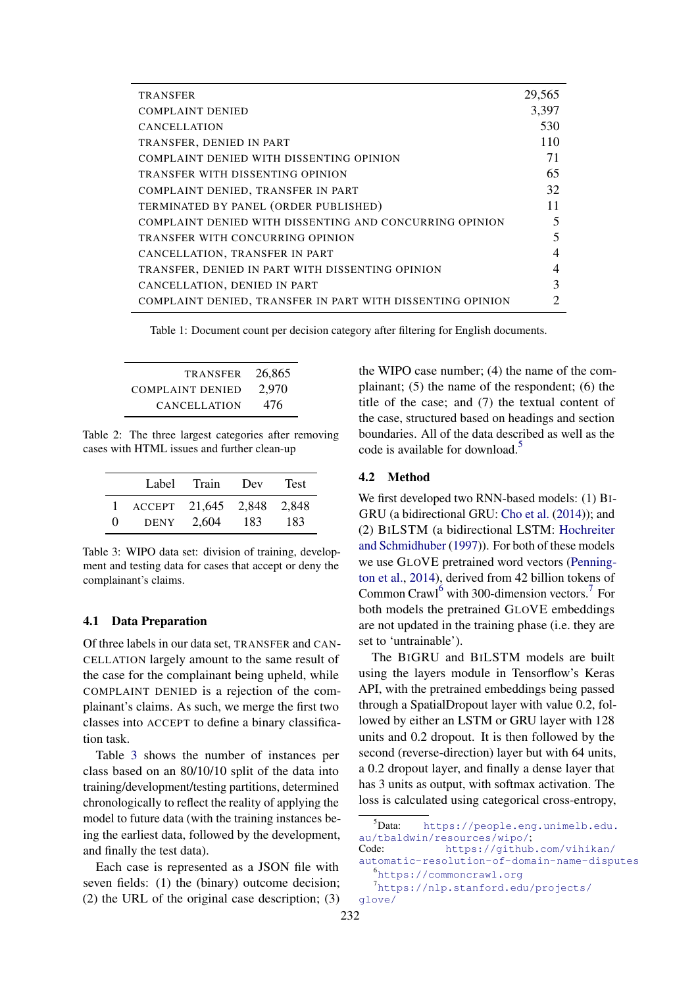<span id="page-4-0"></span>

| <b>TRANSFER</b>                                            | 29,565 |
|------------------------------------------------------------|--------|
| <b>COMPLAINT DENIED</b>                                    | 3,397  |
| <b>CANCELLATION</b>                                        | 530    |
| TRANSFER, DENIED IN PART                                   | 110    |
| COMPLAINT DENIED WITH DISSENTING OPINION                   | 71     |
| TRANSFER WITH DISSENTING OPINION                           | 65     |
| COMPLAINT DENIED, TRANSFER IN PART                         | 32     |
| TERMINATED BY PANEL (ORDER PUBLISHED)                      | 11     |
| COMPLAINT DENIED WITH DISSENTING AND CONCURRING OPINION    | 5      |
| TRANSFER WITH CONCURRING OPINION                           | 5      |
| CANCELLATION, TRANSFER IN PART                             | 4      |
| TRANSFER, DENIED IN PART WITH DISSENTING OPINION           | 4      |
| CANCELLATION, DENIED IN PART                               | 3      |
| COMPLAINT DENIED, TRANSFER IN PART WITH DISSENTING OPINION |        |

Table 1: Document count per decision category after filtering for English documents.

<span id="page-4-1"></span>

| <b>TRANSFER</b>         | 26,865 |
|-------------------------|--------|
| <b>COMPLAINT DENIED</b> | 2,970  |
| <b>CANCELLATION</b>     | 476    |

Table 2: The three largest categories after removing cases with HTML issues and further clean-up

<span id="page-4-2"></span>

|          | Label                     | Train | Dev | <b>Test</b> |
|----------|---------------------------|-------|-----|-------------|
|          | ACCEPT 21,645 2,848 2,848 |       |     |             |
| $\Omega$ | <b>DENY</b>               | 2.604 | 183 | 183         |

Table 3: WIPO data set: division of training, development and testing data for cases that accept or deny the complainant's claims.

## 4.1 Data Preparation

Of three labels in our data set, TRANSFER and CAN-CELLATION largely amount to the same result of the case for the complainant being upheld, while COMPLAINT DENIED is a rejection of the complainant's claims. As such, we merge the first two classes into ACCEPT to define a binary classification task.

Table [3](#page-4-2) shows the number of instances per class based on an 80/10/10 split of the data into training/development/testing partitions, determined chronologically to reflect the reality of applying the model to future data (with the training instances being the earliest data, followed by the development, and finally the test data).

Each case is represented as a JSON file with seven fields: (1) the (binary) outcome decision; (2) the URL of the original case description; (3) the WIPO case number; (4) the name of the complainant; (5) the name of the respondent; (6) the title of the case; and (7) the textual content of the case, structured based on headings and section boundaries. All of the data described as well as the code is available for download.<sup>[5](#page-4-3)</sup>

#### 4.2 Method

We first developed two RNN-based models: (1) BI-GRU (a bidirectional GRU: [Cho et al.](#page-8-6) [\(2014\)](#page-8-6)); and (2) BILSTM (a bidirectional LSTM: [Hochreiter](#page-8-7) [and Schmidhuber](#page-8-7) [\(1997\)](#page-8-7)). For both of these models we use GLOVE pretrained word vectors [\(Penning](#page-9-5)[ton et al.,](#page-9-5) [2014\)](#page-9-5), derived from 42 billion tokens of Common Crawl<sup>[6](#page-4-4)</sup> with 300-dimension vectors.<sup>[7](#page-4-5)</sup> For both models the pretrained GLOVE embeddings are not updated in the training phase (i.e. they are set to 'untrainable').

The BIGRU and BILSTM models are built using the layers module in Tensorflow's Keras API, with the pretrained embeddings being passed through a SpatialDropout layer with value 0.2, followed by either an LSTM or GRU layer with 128 units and 0.2 dropout. It is then followed by the second (reverse-direction) layer but with 64 units, a 0.2 dropout layer, and finally a dense layer that has 3 units as output, with softmax activation. The loss is calculated using categorical cross-entropy,

<span id="page-4-3"></span> $5$ Data: [https://people.eng.unimelb.edu.](https://people.eng.unimelb.edu.au/tbaldwin/resources/wipo/) [au/tbaldwin/resources/wipo/](https://people.eng.unimelb.edu.au/tbaldwin/resources/wipo/);

Code: [https://github.com/vihikan/]( https://github.com/vihikan/automatic-resolution-of-domain-name-disputes) [automatic-resolution-of-domain-name-disputes]( https://github.com/vihikan/automatic-resolution-of-domain-name-disputes) 6 <https://commoncrawl.org>

<span id="page-4-5"></span><span id="page-4-4"></span>

<sup>7</sup> [https://nlp.stanford.edu/projects/](https://nlp.stanford.edu/projects/glove/) [glove/](https://nlp.stanford.edu/projects/glove/)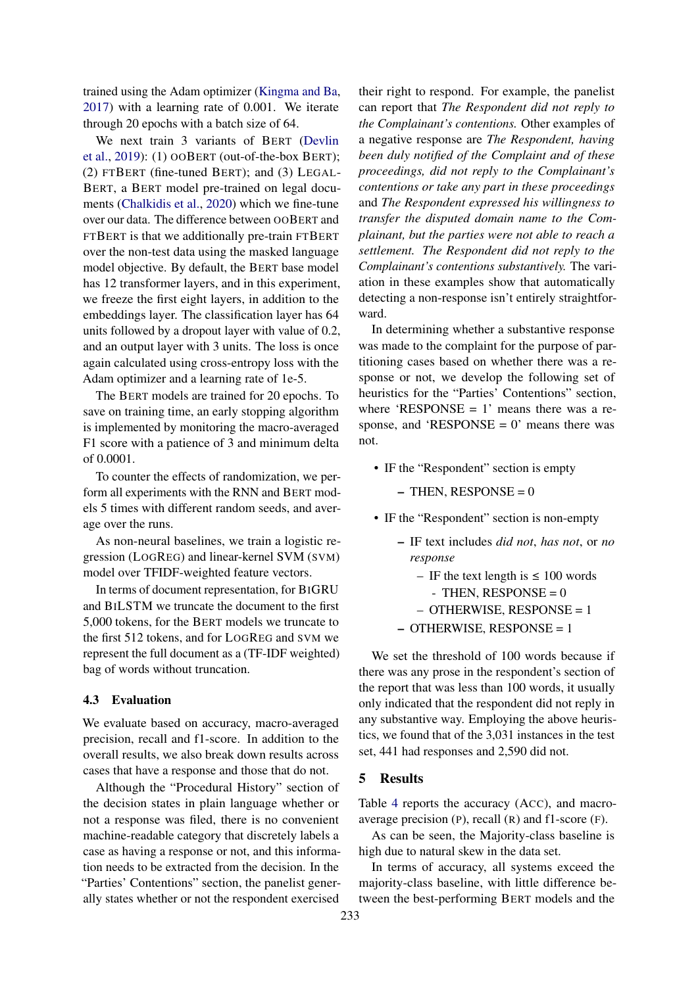trained using the Adam optimizer [\(Kingma and Ba,](#page-9-6) [2017\)](#page-9-6) with a learning rate of 0.001. We iterate through 20 epochs with a batch size of 64.

We next train 3 variants of BERT [\(Devlin](#page-8-8) [et al.,](#page-8-8) [2019\)](#page-8-8): (1) OOBERT (out-of-the-box BERT); (2) FTBERT (fine-tuned BERT); and (3) LEGAL-BERT, a BERT model pre-trained on legal documents [\(Chalkidis et al.,](#page-8-9) [2020\)](#page-8-9) which we fine-tune over our data. The difference between OOBERT and FTBERT is that we additionally pre-train FTBERT over the non-test data using the masked language model objective. By default, the BERT base model has 12 transformer layers, and in this experiment, we freeze the first eight layers, in addition to the embeddings layer. The classification layer has 64 units followed by a dropout layer with value of 0.2, and an output layer with 3 units. The loss is once again calculated using cross-entropy loss with the Adam optimizer and a learning rate of 1e-5.

The BERT models are trained for 20 epochs. To save on training time, an early stopping algorithm is implemented by monitoring the macro-averaged F1 score with a patience of 3 and minimum delta of 0.0001.

To counter the effects of randomization, we perform all experiments with the RNN and BERT models 5 times with different random seeds, and average over the runs.

As non-neural baselines, we train a logistic regression (LOGREG) and linear-kernel SVM (SVM) model over TFIDF-weighted feature vectors.

In terms of document representation, for BIGRU and BILSTM we truncate the document to the first 5,000 tokens, for the BERT models we truncate to the first 512 tokens, and for LOGREG and SVM we represent the full document as a (TF-IDF weighted) bag of words without truncation.

## 4.3 Evaluation

We evaluate based on accuracy, macro-averaged precision, recall and f1-score. In addition to the overall results, we also break down results across cases that have a response and those that do not.

Although the "Procedural History" section of the decision states in plain language whether or not a response was filed, there is no convenient machine-readable category that discretely labels a case as having a response or not, and this information needs to be extracted from the decision. In the "Parties' Contentions" section, the panelist generally states whether or not the respondent exercised

their right to respond. For example, the panelist can report that *The Respondent did not reply to the Complainant's contentions.* Other examples of a negative response are *The Respondent, having been duly notified of the Complaint and of these proceedings, did not reply to the Complainant's contentions or take any part in these proceedings* and *The Respondent expressed his willingness to transfer the disputed domain name to the Complainant, but the parties were not able to reach a settlement. The Respondent did not reply to the Complainant's contentions substantively.* The variation in these examples show that automatically detecting a non-response isn't entirely straightforward.

In determining whether a substantive response was made to the complaint for the purpose of partitioning cases based on whether there was a response or not, we develop the following set of heuristics for the "Parties' Contentions" section, where 'RESPONSE  $= 1$ ' means there was a response, and 'RESPONSE  $= 0$ ' means there was not.

• IF the "Respondent" section is empty

 $-$  THEN, RESPONSE = 0

- IF the "Respondent" section is non-empty
	- IF text includes *did not*, *has not*, or *no response*
		- IF the text length is  $\leq 100$  words  $-$  THEN, RESPONSE = 0
		- OTHERWISE, RESPONSE = 1
	- OTHERWISE, RESPONSE = 1

We set the threshold of 100 words because if there was any prose in the respondent's section of the report that was less than 100 words, it usually only indicated that the respondent did not reply in any substantive way. Employing the above heuristics, we found that of the 3,031 instances in the test set, 441 had responses and 2,590 did not.

## <span id="page-5-0"></span>5 Results

Table [4](#page-6-1) reports the accuracy (ACC), and macroaverage precision (P), recall (R) and f1-score (F).

As can be seen, the Majority-class baseline is high due to natural skew in the data set.

In terms of accuracy, all systems exceed the majority-class baseline, with little difference between the best-performing BERT models and the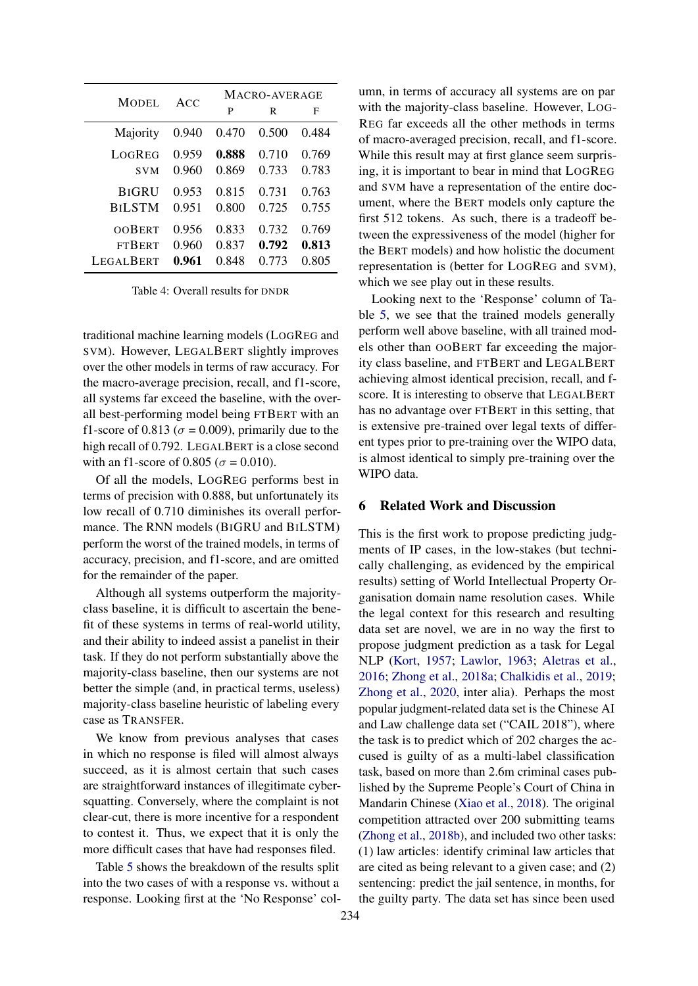<span id="page-6-1"></span>

| MODEL.        | ACC   | MACRO-AVERAGE |       |       |  |
|---------------|-------|---------------|-------|-------|--|
|               |       | P             | R     | F     |  |
| Majority      | 0.940 | 0.470         | 0.500 | 0.484 |  |
| LOGREG        | 0.959 | 0.888         | 0.710 | 0.769 |  |
| <b>SVM</b>    | 0.960 | 0.869         | 0.733 | 0.783 |  |
| <b>BIGRU</b>  | 0.953 | 0.815         | 0.731 | 0.763 |  |
| <b>BILSTM</b> | 0.951 | 0.800         | 0.725 | 0.755 |  |
| OOBERT        | 0.956 | 0.833         | 0.732 | 0.769 |  |
| <b>FTBERT</b> | 0.960 | 0.837         | 0.792 | 0.813 |  |
| LEGAL BERT    | 0.961 | 0.848         | 0.773 | 0.805 |  |

Table 4: Overall results for DNDR

traditional machine learning models (LOGREG and SVM). However, LEGALBERT slightly improves over the other models in terms of raw accuracy. For the macro-average precision, recall, and f1-score, all systems far exceed the baseline, with the overall best-performing model being FTBERT with an f1-score of 0.813 ( $\sigma$  = 0.009), primarily due to the high recall of 0.792. LEGALBERT is a close second with an f1-score of 0.805 ( $\sigma$  = 0.010).

Of all the models, LOGREG performs best in terms of precision with 0.888, but unfortunately its low recall of 0.710 diminishes its overall performance. The RNN models (BIGRU and BILSTM) perform the worst of the trained models, in terms of accuracy, precision, and f1-score, and are omitted for the remainder of the paper.

Although all systems outperform the majorityclass baseline, it is difficult to ascertain the benefit of these systems in terms of real-world utility, and their ability to indeed assist a panelist in their task. If they do not perform substantially above the majority-class baseline, then our systems are not better the simple (and, in practical terms, useless) majority-class baseline heuristic of labeling every case as TRANSFER.

We know from previous analyses that cases in which no response is filed will almost always succeed, as it is almost certain that such cases are straightforward instances of illegitimate cybersquatting. Conversely, where the complaint is not clear-cut, there is more incentive for a respondent to contest it. Thus, we expect that it is only the more difficult cases that have had responses filed.

Table [5](#page-7-0) shows the breakdown of the results split into the two cases of with a response vs. without a response. Looking first at the 'No Response' column, in terms of accuracy all systems are on par with the majority-class baseline. However, LOG-REG far exceeds all the other methods in terms of macro-averaged precision, recall, and f1-score. While this result may at first glance seem surprising, it is important to bear in mind that LOGREG and SVM have a representation of the entire document, where the BERT models only capture the first 512 tokens. As such, there is a tradeoff between the expressiveness of the model (higher for the BERT models) and how holistic the document representation is (better for LOGREG and SVM), which we see play out in these results.

Looking next to the 'Response' column of Table [5,](#page-7-0) we see that the trained models generally perform well above baseline, with all trained models other than OOBERT far exceeding the majority class baseline, and FTBERT and LEGALBERT achieving almost identical precision, recall, and fscore. It is interesting to observe that LEGALBERT has no advantage over FTBERT in this setting, that is extensive pre-trained over legal texts of different types prior to pre-training over the WIPO data, is almost identical to simply pre-training over the WIPO data.

#### <span id="page-6-0"></span>6 Related Work and Discussion

This is the first work to propose predicting judgments of IP cases, in the low-stakes (but technically challenging, as evidenced by the empirical results) setting of World Intellectual Property Organisation domain name resolution cases. While the legal context for this research and resulting data set are novel, we are in no way the first to propose judgment prediction as a task for Legal NLP [\(Kort,](#page-9-7) [1957;](#page-9-7) [Lawlor,](#page-9-8) [1963;](#page-9-8) [Aletras et al.,](#page-8-2) [2016;](#page-8-2) [Zhong et al.,](#page-9-0) [2018a;](#page-9-0) [Chalkidis et al.,](#page-8-3) [2019;](#page-8-3) [Zhong et al.,](#page-9-1) [2020,](#page-9-1) inter alia). Perhaps the most popular judgment-related data set is the Chinese AI and Law challenge data set ("CAIL 2018"), where the task is to predict which of 202 charges the accused is guilty of as a multi-label classification task, based on more than 2.6m criminal cases published by the Supreme People's Court of China in Mandarin Chinese [\(Xiao et al.,](#page-9-9) [2018\)](#page-9-9). The original competition attracted over 200 submitting teams [\(Zhong et al.,](#page-9-10) [2018b\)](#page-9-10), and included two other tasks: (1) law articles: identify criminal law articles that are cited as being relevant to a given case; and (2) sentencing: predict the jail sentence, in months, for the guilty party. The data set has since been used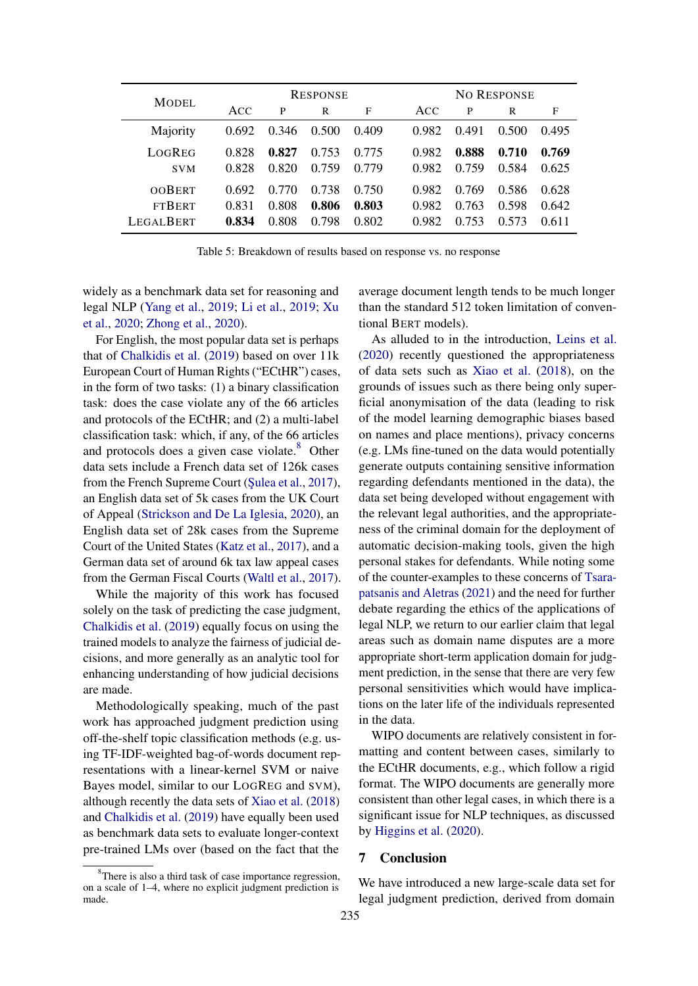<span id="page-7-0"></span>

| MODEL.                                             | <b>RESPONSE</b>         |                         |                         |                         | <b>NO RESPONSE</b>      |                         |                         |                         |
|----------------------------------------------------|-------------------------|-------------------------|-------------------------|-------------------------|-------------------------|-------------------------|-------------------------|-------------------------|
|                                                    | ACC                     | P                       | R                       | F                       | ACC                     | P                       | R                       | F                       |
| Majority                                           | 0.692                   | 0.346                   | 0.500                   | 0.409                   | 0.982                   | 0.491                   | 0.500                   | 0.495                   |
| LOGREG<br><b>SVM</b>                               | 0.828<br>0.828          | 0.827<br>0.820          | 0.753<br>0.759          | 0.775<br>0.779          | 0.982<br>0.982          | 0.888<br>0.759          | 0.710<br>0.584          | 0.769<br>0.625          |
| <b>OOBERT</b><br><b>FTBERT</b><br><b>LEGALBERT</b> | 0.692<br>0.831<br>0.834 | 0.770<br>0.808<br>0.808 | 0.738<br>0.806<br>0.798 | 0.750<br>0.803<br>0.802 | 0.982<br>0.982<br>0.982 | 0.769<br>0.763<br>0.753 | 0.586<br>0.598<br>0.573 | 0.628<br>0.642<br>0.611 |

Table 5: Breakdown of results based on response vs. no response

widely as a benchmark data set for reasoning and legal NLP [\(Yang et al.,](#page-9-11) [2019;](#page-9-11) [Li et al.,](#page-9-12) [2019;](#page-9-12) [Xu](#page-9-13) [et al.,](#page-9-13) [2020;](#page-9-13) [Zhong et al.,](#page-9-1) [2020\)](#page-9-1).

For English, the most popular data set is perhaps that of [Chalkidis et al.](#page-8-3) [\(2019\)](#page-8-3) based on over 11k European Court of Human Rights ("ECtHR") cases, in the form of two tasks: (1) a binary classification task: does the case violate any of the 66 articles and protocols of the ECtHR; and (2) a multi-label classification task: which, if any, of the 66 articles and protocols does a given case violate.<sup>[8](#page-7-1)</sup> Other data sets include a French data set of 126k cases from the French Supreme Court (Sulea et al., [2017\)](#page-9-14), an English data set of 5k cases from the UK Court of Appeal [\(Strickson and De La Iglesia,](#page-9-15) [2020\)](#page-9-15), an English data set of 28k cases from the Supreme Court of the United States [\(Katz et al.,](#page-8-10) [2017\)](#page-8-10), and a German data set of around 6k tax law appeal cases from the German Fiscal Courts [\(Waltl et al.,](#page-9-16) [2017\)](#page-9-16).

While the majority of this work has focused solely on the task of predicting the case judgment, [Chalkidis et al.](#page-8-3) [\(2019\)](#page-8-3) equally focus on using the trained models to analyze the fairness of judicial decisions, and more generally as an analytic tool for enhancing understanding of how judicial decisions are made.

Methodologically speaking, much of the past work has approached judgment prediction using off-the-shelf topic classification methods (e.g. using TF-IDF-weighted bag-of-words document representations with a linear-kernel SVM or naive Bayes model, similar to our LOGREG and SVM), although recently the data sets of [Xiao et al.](#page-9-9) [\(2018\)](#page-9-9) and [Chalkidis et al.](#page-8-3) [\(2019\)](#page-8-3) have equally been used as benchmark data sets to evaluate longer-context pre-trained LMs over (based on the fact that the

average document length tends to be much longer than the standard 512 token limitation of conventional BERT models).

As alluded to in the introduction, [Leins et al.](#page-9-2) [\(2020\)](#page-9-2) recently questioned the appropriateness of data sets such as [Xiao et al.](#page-9-9) [\(2018\)](#page-9-9), on the grounds of issues such as there being only superficial anonymisation of the data (leading to risk of the model learning demographic biases based on names and place mentions), privacy concerns (e.g. LMs fine-tuned on the data would potentially generate outputs containing sensitive information regarding defendants mentioned in the data), the data set being developed without engagement with the relevant legal authorities, and the appropriateness of the criminal domain for the deployment of automatic decision-making tools, given the high personal stakes for defendants. While noting some of the counter-examples to these concerns of [Tsara](#page-9-3)[patsanis and Aletras](#page-9-3) [\(2021\)](#page-9-3) and the need for further debate regarding the ethics of the applications of legal NLP, we return to our earlier claim that legal areas such as domain name disputes are a more appropriate short-term application domain for judgment prediction, in the sense that there are very few personal sensitivities which would have implications on the later life of the individuals represented in the data.

WIPO documents are relatively consistent in formatting and content between cases, similarly to the ECtHR documents, e.g., which follow a rigid format. The WIPO documents are generally more consistent than other legal cases, in which there is a significant issue for NLP techniques, as discussed by [Higgins et al.](#page-8-11) [\(2020\)](#page-8-11).

#### 7 Conclusion

We have introduced a new large-scale data set for legal judgment prediction, derived from domain

<span id="page-7-1"></span><sup>&</sup>lt;sup>8</sup>There is also a third task of case importance regression, on a scale of 1–4, where no explicit judgment prediction is made.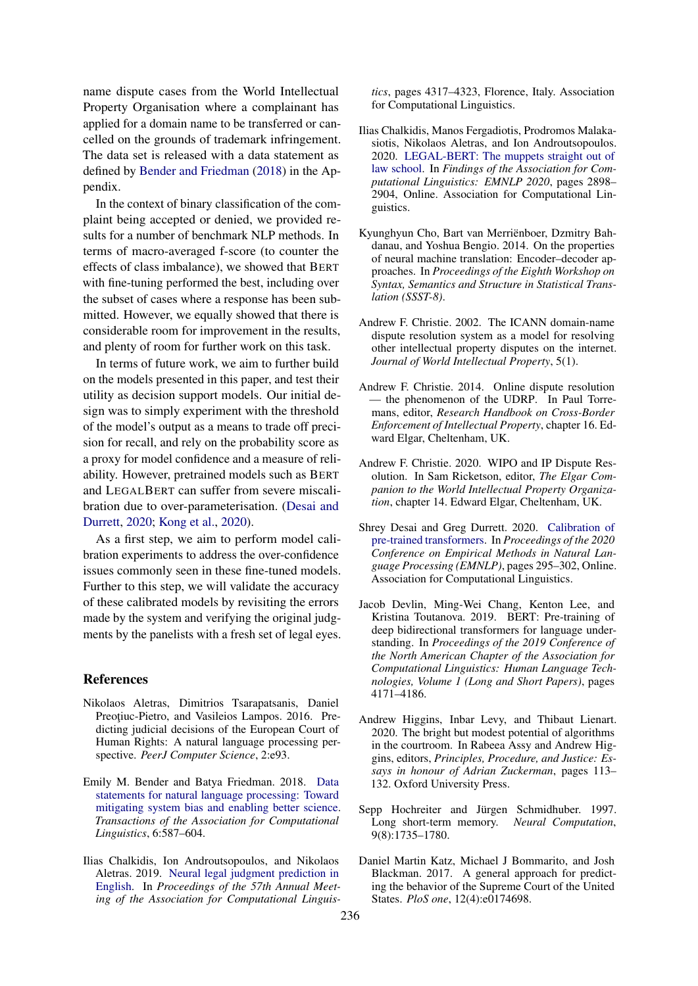name dispute cases from the World Intellectual Property Organisation where a complainant has applied for a domain name to be transferred or cancelled on the grounds of trademark infringement. The data set is released with a data statement as defined by [Bender and Friedman](#page-8-5) [\(2018\)](#page-8-5) in the Appendix.

In the context of binary classification of the complaint being accepted or denied, we provided results for a number of benchmark NLP methods. In terms of macro-averaged f-score (to counter the effects of class imbalance), we showed that BERT with fine-tuning performed the best, including over the subset of cases where a response has been submitted. However, we equally showed that there is considerable room for improvement in the results, and plenty of room for further work on this task.

In terms of future work, we aim to further build on the models presented in this paper, and test their utility as decision support models. Our initial design was to simply experiment with the threshold of the model's output as a means to trade off precision for recall, and rely on the probability score as a proxy for model confidence and a measure of reliability. However, pretrained models such as BERT and LEGALBERT can suffer from severe miscalibration due to over-parameterisation. [\(Desai and](#page-8-12) [Durrett,](#page-8-12) [2020;](#page-8-12) [Kong et al.,](#page-9-17) [2020\)](#page-9-17).

As a first step, we aim to perform model calibration experiments to address the over-confidence issues commonly seen in these fine-tuned models. Further to this step, we will validate the accuracy of these calibrated models by revisiting the errors made by the system and verifying the original judgments by the panelists with a fresh set of legal eyes.

#### **References**

- <span id="page-8-2"></span>Nikolaos Aletras, Dimitrios Tsarapatsanis, Daniel Preotiuc-Pietro, and Vasileios Lampos. 2016. Predicting judicial decisions of the European Court of Human Rights: A natural language processing perspective. *PeerJ Computer Science*, 2:e93.
- <span id="page-8-5"></span>Emily M. Bender and Batya Friedman. 2018. [Data](https://doi.org/10.1162/tacl_a_00041) [statements for natural language processing: Toward](https://doi.org/10.1162/tacl_a_00041) [mitigating system bias and enabling better science.](https://doi.org/10.1162/tacl_a_00041) *Transactions of the Association for Computational Linguistics*, 6:587–604.
- <span id="page-8-3"></span>Ilias Chalkidis, Ion Androutsopoulos, and Nikolaos Aletras. 2019. [Neural legal judgment prediction in](https://doi.org/10.18653/v1/P19-1424) [English.](https://doi.org/10.18653/v1/P19-1424) In *Proceedings of the 57th Annual Meeting of the Association for Computational Linguis-*

*tics*, pages 4317–4323, Florence, Italy. Association for Computational Linguistics.

- <span id="page-8-9"></span>Ilias Chalkidis, Manos Fergadiotis, Prodromos Malakasiotis, Nikolaos Aletras, and Ion Androutsopoulos. 2020. [LEGAL-BERT: The muppets straight out of](https://doi.org/10.18653/v1/2020.findings-emnlp.261) [law school.](https://doi.org/10.18653/v1/2020.findings-emnlp.261) In *Findings of the Association for Computational Linguistics: EMNLP 2020*, pages 2898– 2904, Online. Association for Computational Linguistics.
- <span id="page-8-6"></span>Kyunghyun Cho, Bart van Merriënboer, Dzmitry Bahdanau, and Yoshua Bengio. 2014. On the properties of neural machine translation: Encoder–decoder approaches. In *Proceedings of the Eighth Workshop on Syntax, Semantics and Structure in Statistical Translation (SSST-8)*.
- <span id="page-8-4"></span>Andrew F. Christie. 2002. The ICANN domain-name dispute resolution system as a model for resolving other intellectual property disputes on the internet. *Journal of World Intellectual Property*, 5(1).
- <span id="page-8-1"></span>Andrew F. Christie. 2014. Online dispute resolution — the phenomenon of the UDRP. In Paul Torremans, editor, *Research Handbook on Cross-Border Enforcement of Intellectual Property*, chapter 16. Edward Elgar, Cheltenham, UK.
- <span id="page-8-0"></span>Andrew F. Christie. 2020. WIPO and IP Dispute Resolution. In Sam Ricketson, editor, *The Elgar Companion to the World Intellectual Property Organization*, chapter 14. Edward Elgar, Cheltenham, UK.
- <span id="page-8-12"></span>Shrey Desai and Greg Durrett. 2020. [Calibration of](https://doi.org/10.18653/v1/2020.emnlp-main.21) [pre-trained transformers.](https://doi.org/10.18653/v1/2020.emnlp-main.21) In *Proceedings of the 2020 Conference on Empirical Methods in Natural Language Processing (EMNLP)*, pages 295–302, Online. Association for Computational Linguistics.
- <span id="page-8-8"></span>Jacob Devlin, Ming-Wei Chang, Kenton Lee, and Kristina Toutanova. 2019. BERT: Pre-training of deep bidirectional transformers for language understanding. In *Proceedings of the 2019 Conference of the North American Chapter of the Association for Computational Linguistics: Human Language Technologies, Volume 1 (Long and Short Papers)*, pages 4171–4186.
- <span id="page-8-11"></span>Andrew Higgins, Inbar Levy, and Thibaut Lienart. 2020. The bright but modest potential of algorithms in the courtroom. In Rabeea Assy and Andrew Higgins, editors, *Principles, Procedure, and Justice: Essays in honour of Adrian Zuckerman*, pages 113– 132. Oxford University Press.
- <span id="page-8-7"></span>Sepp Hochreiter and Jürgen Schmidhuber. 1997. Long short-term memory. *Neural Computation*, 9(8):1735–1780.
- <span id="page-8-10"></span>Daniel Martin Katz, Michael J Bommarito, and Josh Blackman. 2017. A general approach for predicting the behavior of the Supreme Court of the United States. *PloS one*, 12(4):e0174698.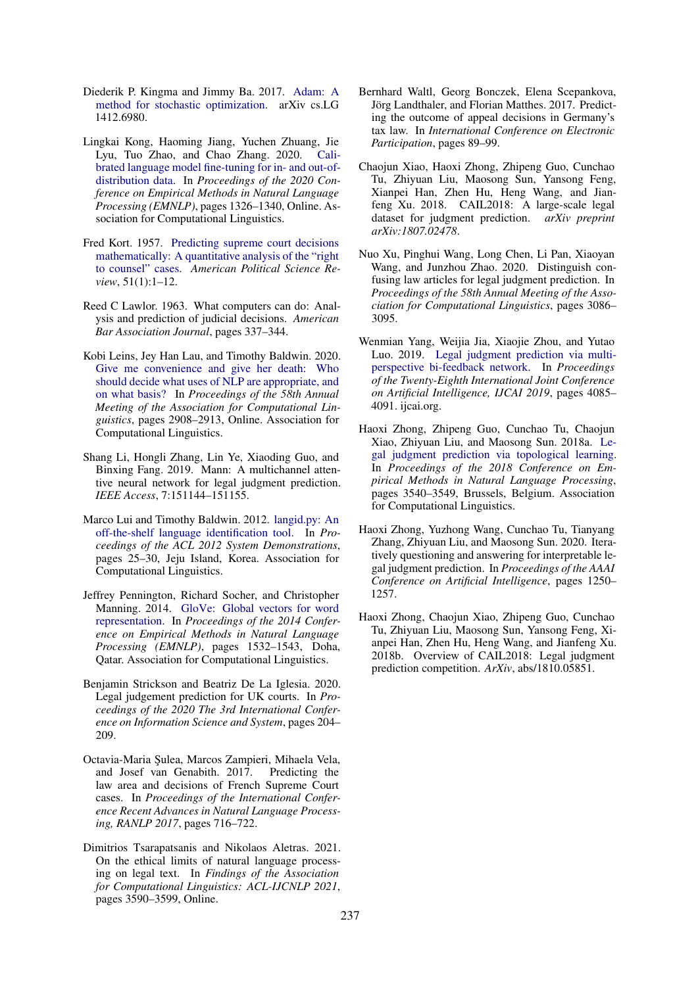- <span id="page-9-6"></span>Diederik P. Kingma and Jimmy Ba. 2017. [Adam: A](http://arxiv.org/abs/1412.6980) [method for stochastic optimization.](http://arxiv.org/abs/1412.6980) arXiv cs.LG 1412.6980.
- <span id="page-9-17"></span>Lingkai Kong, Haoming Jiang, Yuchen Zhuang, Jie Lyu, Tuo Zhao, and Chao Zhang. 2020. [Cali](https://doi.org/10.18653/v1/2020.emnlp-main.102)[brated language model fine-tuning for in- and out-of](https://doi.org/10.18653/v1/2020.emnlp-main.102)[distribution data.](https://doi.org/10.18653/v1/2020.emnlp-main.102) In *Proceedings of the 2020 Conference on Empirical Methods in Natural Language Processing (EMNLP)*, pages 1326–1340, Online. Association for Computational Linguistics.
- <span id="page-9-7"></span>Fred Kort. 1957. [Predicting supreme court decisions](https://doi.org/10.2307/1951767) [mathematically: A quantitative analysis of the "right](https://doi.org/10.2307/1951767) [to counsel" cases.](https://doi.org/10.2307/1951767) *American Political Science Review*, 51(1):1–12.
- <span id="page-9-8"></span>Reed C Lawlor. 1963. What computers can do: Analysis and prediction of judicial decisions. *American Bar Association Journal*, pages 337–344.
- <span id="page-9-2"></span>Kobi Leins, Jey Han Lau, and Timothy Baldwin. 2020. [Give me convenience and give her death: Who](https://doi.org/10.18653/v1/2020.acl-main.261) [should decide what uses of NLP are appropriate, and](https://doi.org/10.18653/v1/2020.acl-main.261) [on what basis?](https://doi.org/10.18653/v1/2020.acl-main.261) In *Proceedings of the 58th Annual Meeting of the Association for Computational Linguistics*, pages 2908–2913, Online. Association for Computational Linguistics.
- <span id="page-9-12"></span>Shang Li, Hongli Zhang, Lin Ye, Xiaoding Guo, and Binxing Fang. 2019. Mann: A multichannel attentive neural network for legal judgment prediction. *IEEE Access*, 7:151144–151155.
- <span id="page-9-4"></span>Marco Lui and Timothy Baldwin. 2012. [langid.py: An](https://aclanthology.org/P12-3005) [off-the-shelf language identification tool.](https://aclanthology.org/P12-3005) In *Proceedings of the ACL 2012 System Demonstrations*, pages 25–30, Jeju Island, Korea. Association for Computational Linguistics.
- <span id="page-9-5"></span>Jeffrey Pennington, Richard Socher, and Christopher Manning. 2014. [GloVe: Global vectors for word](https://doi.org/10.3115/v1/D14-1162) [representation.](https://doi.org/10.3115/v1/D14-1162) In *Proceedings of the 2014 Conference on Empirical Methods in Natural Language Processing (EMNLP)*, pages 1532–1543, Doha, Qatar. Association for Computational Linguistics.
- <span id="page-9-15"></span>Benjamin Strickson and Beatriz De La Iglesia. 2020. Legal judgement prediction for UK courts. In *Proceedings of the 2020 The 3rd International Conference on Information Science and System*, pages 204– 209.
- <span id="page-9-14"></span>Octavia-Maria ¸Sulea, Marcos Zampieri, Mihaela Vela, and Josef van Genabith. 2017. Predicting the law area and decisions of French Supreme Court cases. In *Proceedings of the International Conference Recent Advances in Natural Language Processing, RANLP 2017*, pages 716–722.
- <span id="page-9-3"></span>Dimitrios Tsarapatsanis and Nikolaos Aletras. 2021. On the ethical limits of natural language processing on legal text. In *Findings of the Association for Computational Linguistics: ACL-IJCNLP 2021*, pages 3590–3599, Online.
- <span id="page-9-16"></span>Bernhard Waltl, Georg Bonczek, Elena Scepankova, Jörg Landthaler, and Florian Matthes. 2017. Predicting the outcome of appeal decisions in Germany's tax law. In *International Conference on Electronic Participation*, pages 89–99.
- <span id="page-9-9"></span>Chaojun Xiao, Haoxi Zhong, Zhipeng Guo, Cunchao Tu, Zhiyuan Liu, Maosong Sun, Yansong Feng, Xianpei Han, Zhen Hu, Heng Wang, and Jianfeng Xu. 2018. CAIL2018: A large-scale legal dataset for judgment prediction. *arXiv preprint arXiv:1807.02478*.
- <span id="page-9-13"></span>Nuo Xu, Pinghui Wang, Long Chen, Li Pan, Xiaoyan Wang, and Junzhou Zhao. 2020. Distinguish confusing law articles for legal judgment prediction. In *Proceedings of the 58th Annual Meeting of the Association for Computational Linguistics*, pages 3086– 3095.
- <span id="page-9-11"></span>Wenmian Yang, Weijia Jia, Xiaojie Zhou, and Yutao Luo. 2019. [Legal judgment prediction via multi](https://doi.org/10.24963/ijcai.2019/567)[perspective bi-feedback network.](https://doi.org/10.24963/ijcai.2019/567) In *Proceedings of the Twenty-Eighth International Joint Conference on Artificial Intelligence, IJCAI 2019*, pages 4085– 4091. ijcai.org.
- <span id="page-9-0"></span>Haoxi Zhong, Zhipeng Guo, Cunchao Tu, Chaojun Xiao, Zhiyuan Liu, and Maosong Sun. 2018a. [Le](https://doi.org/10.18653/v1/D18-1390)[gal judgment prediction via topological learning.](https://doi.org/10.18653/v1/D18-1390) In *Proceedings of the 2018 Conference on Empirical Methods in Natural Language Processing*, pages 3540–3549, Brussels, Belgium. Association for Computational Linguistics.
- <span id="page-9-1"></span>Haoxi Zhong, Yuzhong Wang, Cunchao Tu, Tianyang Zhang, Zhiyuan Liu, and Maosong Sun. 2020. Iteratively questioning and answering for interpretable legal judgment prediction. In *Proceedings of the AAAI Conference on Artificial Intelligence*, pages 1250– 1257.
- <span id="page-9-10"></span>Haoxi Zhong, Chaojun Xiao, Zhipeng Guo, Cunchao Tu, Zhiyuan Liu, Maosong Sun, Yansong Feng, Xianpei Han, Zhen Hu, Heng Wang, and Jianfeng Xu. 2018b. Overview of CAIL2018: Legal judgment prediction competition. *ArXiv*, abs/1810.05851.